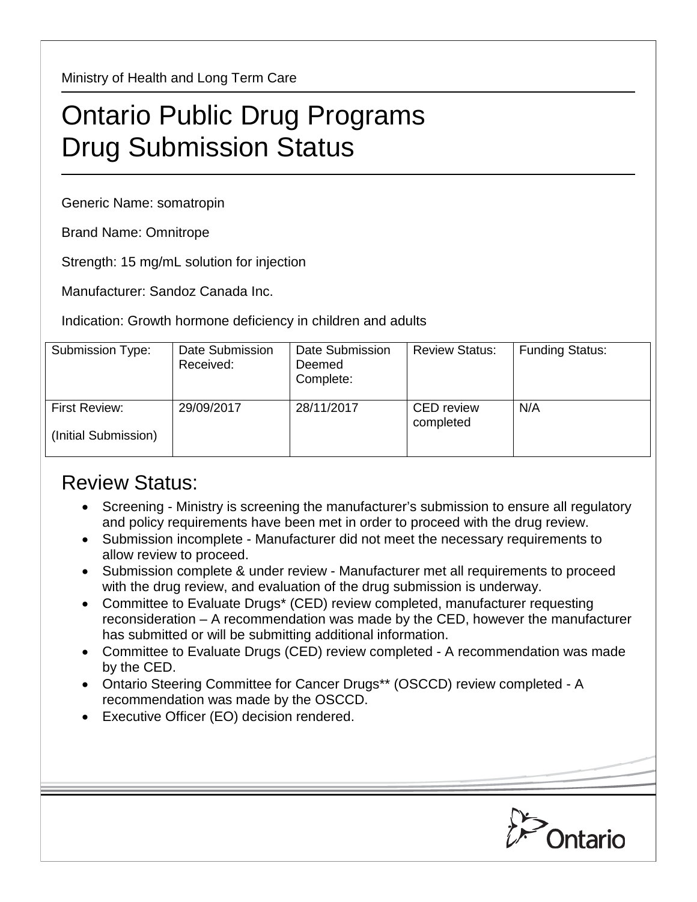Ministry of Health and Long Term Care

## Ontario Public Drug Programs Drug Submission Status

Generic Name: somatropin

Brand Name: Omnitrope

Strength: 15 mg/mL solution for injection

Manufacturer: Sandoz Canada Inc.

Indication: Growth hormone deficiency in children and adults

| Submission Type:                      | Date Submission<br>Received: | Date Submission<br>Deemed<br>Complete: | <b>Review Status:</b>          | <b>Funding Status:</b> |
|---------------------------------------|------------------------------|----------------------------------------|--------------------------------|------------------------|
| First Review:<br>(Initial Submission) | 29/09/2017                   | 28/11/2017                             | <b>CED</b> review<br>completed | N/A                    |

## Review Status:

- Screening Ministry is screening the manufacturer's submission to ensure all regulatory and policy requirements have been met in order to proceed with the drug review.
- Submission incomplete Manufacturer did not meet the necessary requirements to allow review to proceed.
- Submission complete & under review Manufacturer met all requirements to proceed with the drug review, and evaluation of the drug submission is underway.
- Committee to Evaluate Drugs\* (CED) review completed, manufacturer requesting reconsideration – A recommendation was made by the CED, however the manufacturer has submitted or will be submitting additional information.
- Committee to Evaluate Drugs (CED) review completed A recommendation was made by the CED.
- Ontario Steering Committee for Cancer Drugs\*\* (OSCCD) review completed A recommendation was made by the OSCCD.
- Executive Officer (EO) decision rendered.